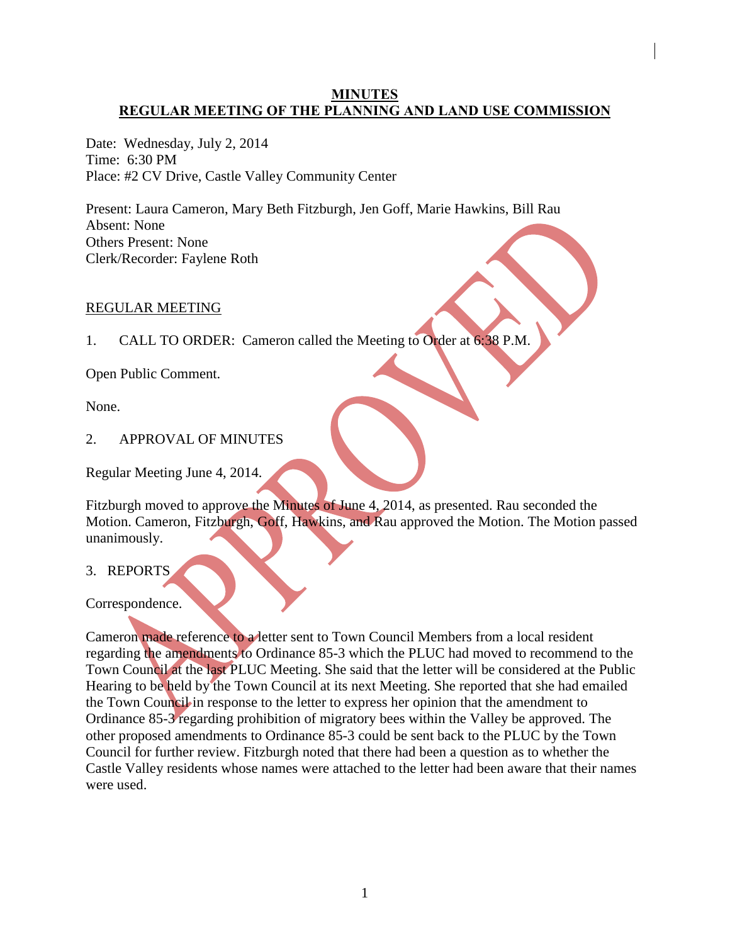## **MINUTES REGULAR MEETING OF THE PLANNING AND LAND USE COMMISSION**

Date: Wednesday, July 2, 2014 Time: 6:30 PM Place: #2 CV Drive, Castle Valley Community Center

Present: Laura Cameron, Mary Beth Fitzburgh, Jen Goff, Marie Hawkins, Bill Rau Absent: None Others Present: None Clerk/Recorder: Faylene Roth

#### REGULAR MEETING

1. CALL TO ORDER: Cameron called the Meeting to Order at 6:38 P.M.

Open Public Comment.

None.

2. APPROVAL OF MINUTES

Regular Meeting June 4, 2014.

Fitzburgh moved to approve the Minutes of June 4, 2014, as presented. Rau seconded the Motion. Cameron, Fitzburgh, Goff, Hawkins, and Rau approved the Motion. The Motion passed unanimously.

3. REPORTS

Correspondence.

Cameron made reference to a letter sent to Town Council Members from a local resident regarding the amendments to Ordinance 85-3 which the PLUC had moved to recommend to the Town Council at the last PLUC Meeting. She said that the letter will be considered at the Public Hearing to be held by the Town Council at its next Meeting. She reported that she had emailed the Town Council in response to the letter to express her opinion that the amendment to Ordinance 85-3 regarding prohibition of migratory bees within the Valley be approved. The other proposed amendments to Ordinance 85-3 could be sent back to the PLUC by the Town Council for further review. Fitzburgh noted that there had been a question as to whether the Castle Valley residents whose names were attached to the letter had been aware that their names were used.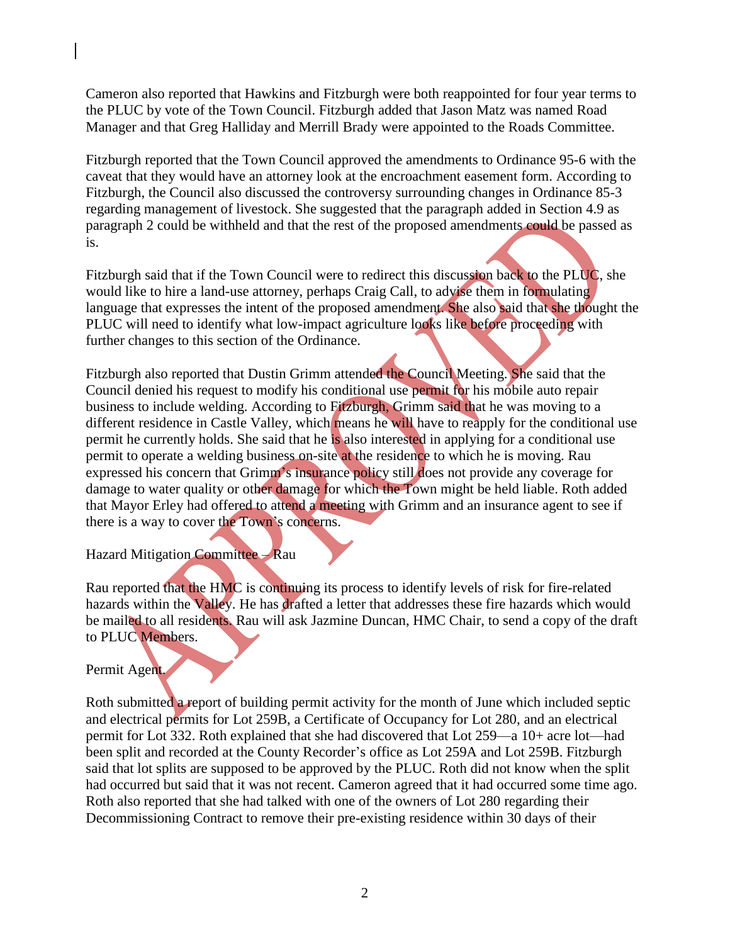Cameron also reported that Hawkins and Fitzburgh were both reappointed for four year terms to the PLUC by vote of the Town Council. Fitzburgh added that Jason Matz was named Road Manager and that Greg Halliday and Merrill Brady were appointed to the Roads Committee.

Fitzburgh reported that the Town Council approved the amendments to Ordinance 95-6 with the caveat that they would have an attorney look at the encroachment easement form. According to Fitzburgh, the Council also discussed the controversy surrounding changes in Ordinance 85-3 regarding management of livestock. She suggested that the paragraph added in Section 4.9 as paragraph 2 could be withheld and that the rest of the proposed amendments could be passed as is.

Fitzburgh said that if the Town Council were to redirect this discussion back to the PLUC, she would like to hire a land-use attorney, perhaps Craig Call, to advise them in formulating language that expresses the intent of the proposed amendment. She also said that she thought the PLUC will need to identify what low-impact agriculture looks like before proceeding with further changes to this section of the Ordinance.

Fitzburgh also reported that Dustin Grimm attended the Council Meeting. She said that the Council denied his request to modify his conditional use permit for his mobile auto repair business to include welding. According to Fitzburgh, Grimm said that he was moving to a different residence in Castle Valley, which means he will have to reapply for the conditional use permit he currently holds. She said that he is also interested in applying for a conditional use permit to operate a welding business on-site at the residence to which he is moving. Rau expressed his concern that Grimm's insurance policy still does not provide any coverage for damage to water quality or other damage for which the Town might be held liable. Roth added that Mayor Erley had offered to attend a meeting with Grimm and an insurance agent to see if there is a way to cover the Town's concerns.

Hazard Mitigation Committee – Rau

Rau reported that the HMC is continuing its process to identify levels of risk for fire-related hazards within the Valley. He has drafted a letter that addresses these fire hazards which would be mailed to all residents. Rau will ask Jazmine Duncan, HMC Chair, to send a copy of the draft to PLUC Members.

Permit Agent.

Roth submitted a report of building permit activity for the month of June which included septic and electrical permits for Lot 259B, a Certificate of Occupancy for Lot 280, and an electrical permit for Lot 332. Roth explained that she had discovered that Lot 259—a 10+ acre lot—had been split and recorded at the County Recorder's office as Lot 259A and Lot 259B. Fitzburgh said that lot splits are supposed to be approved by the PLUC. Roth did not know when the split had occurred but said that it was not recent. Cameron agreed that it had occurred some time ago. Roth also reported that she had talked with one of the owners of Lot 280 regarding their Decommissioning Contract to remove their pre-existing residence within 30 days of their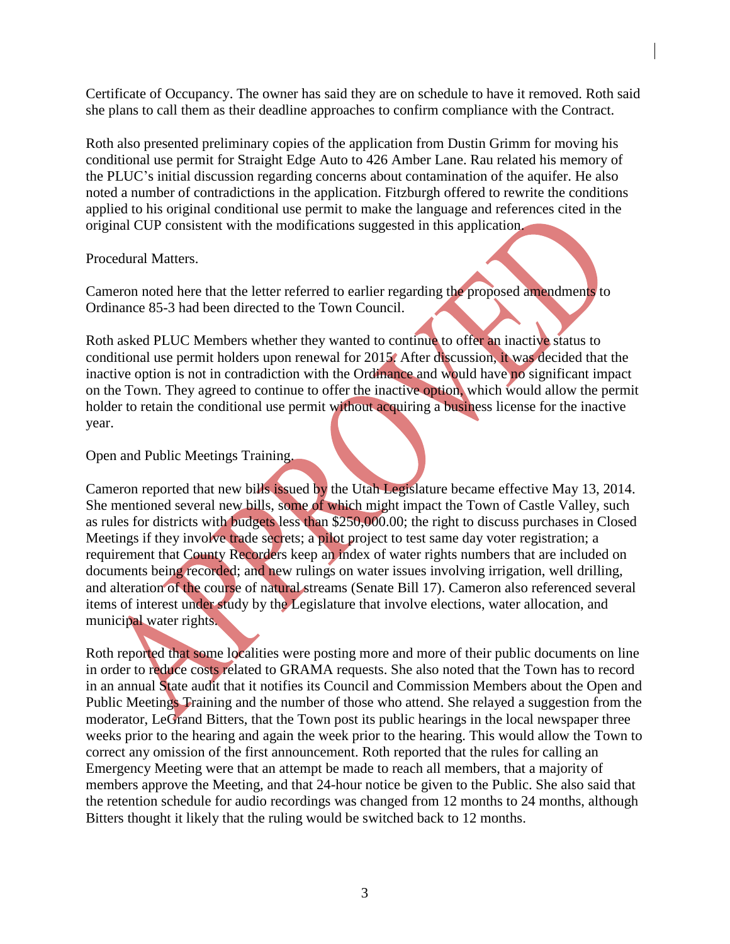Certificate of Occupancy. The owner has said they are on schedule to have it removed. Roth said she plans to call them as their deadline approaches to confirm compliance with the Contract.

Roth also presented preliminary copies of the application from Dustin Grimm for moving his conditional use permit for Straight Edge Auto to 426 Amber Lane. Rau related his memory of the PLUC's initial discussion regarding concerns about contamination of the aquifer. He also noted a number of contradictions in the application. Fitzburgh offered to rewrite the conditions applied to his original conditional use permit to make the language and references cited in the original CUP consistent with the modifications suggested in this application.

Procedural Matters.

Cameron noted here that the letter referred to earlier regarding the proposed amendments to Ordinance 85-3 had been directed to the Town Council.

Roth asked PLUC Members whether they wanted to continue to offer an inactive status to conditional use permit holders upon renewal for 2015. After discussion, it was decided that the inactive option is not in contradiction with the Ordinance and would have no significant impact on the Town. They agreed to continue to offer the inactive option, which would allow the permit holder to retain the conditional use permit without acquiring a business license for the inactive year.

Open and Public Meetings Training.

Cameron reported that new bills issued by the Utah Legislature became effective May 13, 2014. She mentioned several new bills, some of which might impact the Town of Castle Valley, such as rules for districts with budgets less than \$250,000.00; the right to discuss purchases in Closed Meetings if they involve trade secrets; a pilot project to test same day voter registration; a requirement that County Recorders keep an index of water rights numbers that are included on documents being recorded; and new rulings on water issues involving irrigation, well drilling, and alteration of the course of natural streams (Senate Bill 17). Cameron also referenced several items of interest under study by the Legislature that involve elections, water allocation, and municipal water rights.

Roth reported that some localities were posting more and more of their public documents on line in order to reduce costs related to GRAMA requests. She also noted that the Town has to record in an annual State audit that it notifies its Council and Commission Members about the Open and Public Meetings Training and the number of those who attend. She relayed a suggestion from the moderator, LeGrand Bitters, that the Town post its public hearings in the local newspaper three weeks prior to the hearing and again the week prior to the hearing. This would allow the Town to correct any omission of the first announcement. Roth reported that the rules for calling an Emergency Meeting were that an attempt be made to reach all members, that a majority of members approve the Meeting, and that 24-hour notice be given to the Public. She also said that the retention schedule for audio recordings was changed from 12 months to 24 months, although Bitters thought it likely that the ruling would be switched back to 12 months.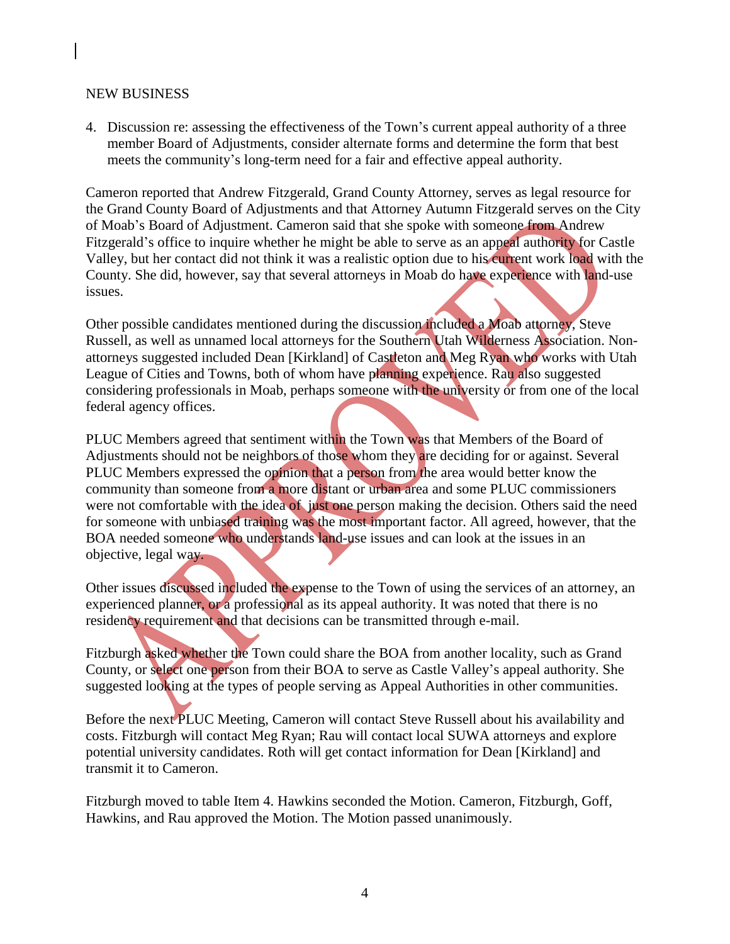#### NEW BUSINESS

4. Discussion re: assessing the effectiveness of the Town's current appeal authority of a three member Board of Adjustments, consider alternate forms and determine the form that best meets the community's long-term need for a fair and effective appeal authority.

Cameron reported that Andrew Fitzgerald, Grand County Attorney, serves as legal resource for the Grand County Board of Adjustments and that Attorney Autumn Fitzgerald serves on the City of Moab's Board of Adjustment. Cameron said that she spoke with someone from Andrew Fitzgerald's office to inquire whether he might be able to serve as an appeal authority for Castle Valley, but her contact did not think it was a realistic option due to his current work load with the County. She did, however, say that several attorneys in Moab do have experience with land-use issues.

Other possible candidates mentioned during the discussion included a Moab attorney, Steve Russell, as well as unnamed local attorneys for the Southern Utah Wilderness Association. Nonattorneys suggested included Dean [Kirkland] of Castleton and Meg Ryan who works with Utah League of Cities and Towns, both of whom have planning experience. Rau also suggested considering professionals in Moab, perhaps someone with the university or from one of the local federal agency offices.

PLUC Members agreed that sentiment within the Town was that Members of the Board of Adjustments should not be neighbors of those whom they are deciding for or against. Several PLUC Members expressed the opinion that a person from the area would better know the community than someone from a more distant or urban area and some PLUC commissioners were not comfortable with the idea of just one person making the decision. Others said the need for someone with unbiased training was the most important factor. All agreed, however, that the BOA needed someone who understands land-use issues and can look at the issues in an objective, legal way.

Other issues discussed included the expense to the Town of using the services of an attorney, an experienced planner, or a professional as its appeal authority. It was noted that there is no residency requirement and that decisions can be transmitted through e-mail.

Fitzburgh asked whether the Town could share the BOA from another locality, such as Grand County, or select one person from their BOA to serve as Castle Valley's appeal authority. She suggested looking at the types of people serving as Appeal Authorities in other communities.

Before the next PLUC Meeting, Cameron will contact Steve Russell about his availability and costs. Fitzburgh will contact Meg Ryan; Rau will contact local SUWA attorneys and explore potential university candidates. Roth will get contact information for Dean [Kirkland] and transmit it to Cameron.

Fitzburgh moved to table Item 4. Hawkins seconded the Motion. Cameron, Fitzburgh, Goff, Hawkins, and Rau approved the Motion. The Motion passed unanimously.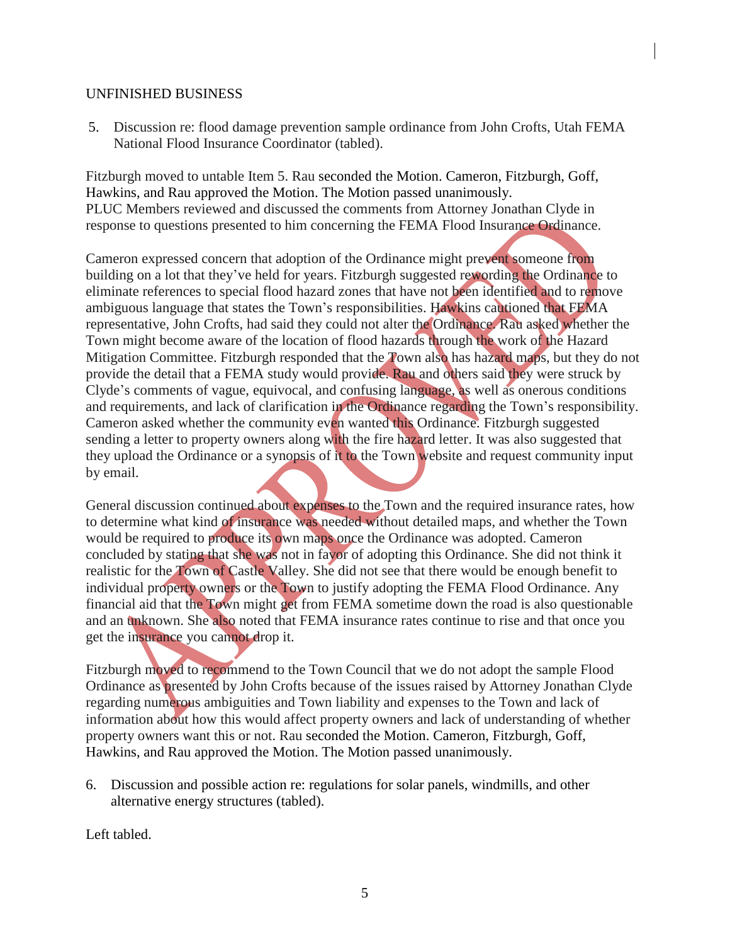## UNFINISHED BUSINESS

5. Discussion re: flood damage prevention sample ordinance from John Crofts, Utah FEMA National Flood Insurance Coordinator (tabled).

Fitzburgh moved to untable Item 5. Rau seconded the Motion. Cameron, Fitzburgh, Goff, Hawkins, and Rau approved the Motion. The Motion passed unanimously. PLUC Members reviewed and discussed the comments from Attorney Jonathan Clyde in response to questions presented to him concerning the FEMA Flood Insurance Ordinance.

Cameron expressed concern that adoption of the Ordinance might prevent someone from building on a lot that they've held for years. Fitzburgh suggested rewording the Ordinance to eliminate references to special flood hazard zones that have not been identified and to remove ambiguous language that states the Town's responsibilities. Hawkins cautioned that FEMA representative, John Crofts, had said they could not alter the Ordinance. Rau asked whether the Town might become aware of the location of flood hazards through the work of the Hazard Mitigation Committee. Fitzburgh responded that the Town also has hazard maps, but they do not provide the detail that a FEMA study would provide. Rau and others said they were struck by Clyde's comments of vague, equivocal, and confusing language, as well as onerous conditions and requirements, and lack of clarification in the Ordinance regarding the Town's responsibility. Cameron asked whether the community even wanted this Ordinance. Fitzburgh suggested sending a letter to property owners along with the fire hazard letter. It was also suggested that they upload the Ordinance or a synopsis of it to the Town website and request community input by email.

General discussion continued about expenses to the Town and the required insurance rates, how to determine what kind of insurance was needed without detailed maps, and whether the Town would be required to produce its own maps once the Ordinance was adopted. Cameron concluded by stating that she was not in favor of adopting this Ordinance. She did not think it realistic for the Town of Castle Valley. She did not see that there would be enough benefit to individual property owners or the Town to justify adopting the FEMA Flood Ordinance. Any financial aid that the Town might get from FEMA sometime down the road is also questionable and an unknown. She also noted that FEMA insurance rates continue to rise and that once you get the insurance you cannot drop it.

Fitzburgh moved to recommend to the Town Council that we do not adopt the sample Flood Ordinance as presented by John Crofts because of the issues raised by Attorney Jonathan Clyde regarding numerous ambiguities and Town liability and expenses to the Town and lack of information about how this would affect property owners and lack of understanding of whether property owners want this or not. Rau seconded the Motion. Cameron, Fitzburgh, Goff, Hawkins, and Rau approved the Motion. The Motion passed unanimously.

6. Discussion and possible action re: regulations for solar panels, windmills, and other alternative energy structures (tabled).

Left tabled.